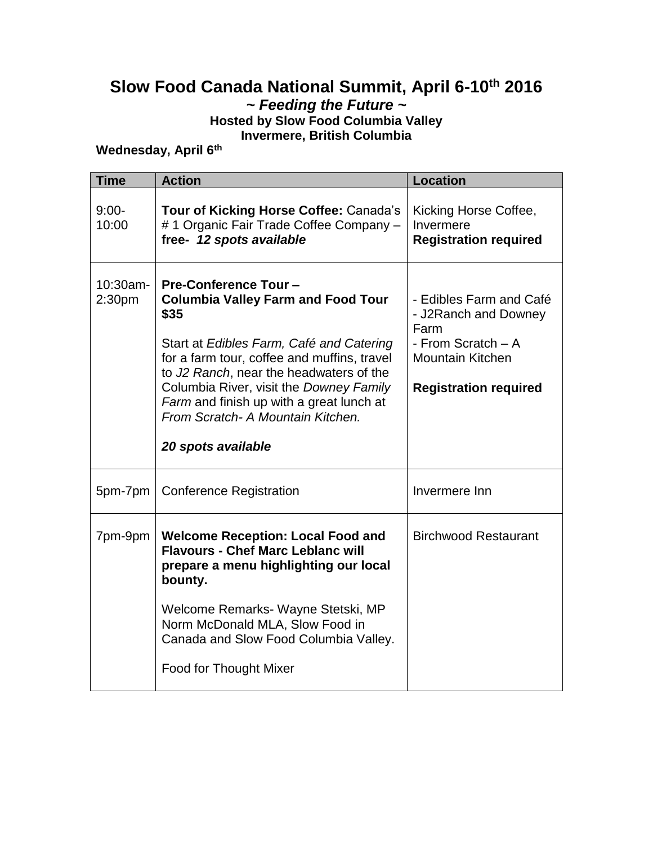### **Slow Food Canada National Summit, April 6-10th 2016** *~ Feeding the Future ~*

**Hosted by Slow Food Columbia Valley Invermere, British Columbia**

**Wednesday, April 6th**

| <b>Time</b>        | <b>Action</b>                                                                                                                                                                                                                                                                                                                                                             | <b>Location</b>                                                                                                                          |
|--------------------|---------------------------------------------------------------------------------------------------------------------------------------------------------------------------------------------------------------------------------------------------------------------------------------------------------------------------------------------------------------------------|------------------------------------------------------------------------------------------------------------------------------------------|
| $9:00-$<br>10:00   | Tour of Kicking Horse Coffee: Canada's<br>#1 Organic Fair Trade Coffee Company -<br>free- 12 spots available                                                                                                                                                                                                                                                              | Kicking Horse Coffee,<br>Invermere<br><b>Registration required</b>                                                                       |
| 10:30am-<br>2:30pm | <b>Pre-Conference Tour -</b><br><b>Columbia Valley Farm and Food Tour</b><br>\$35<br>Start at Edibles Farm, Café and Catering<br>for a farm tour, coffee and muffins, travel<br>to J2 Ranch, near the headwaters of the<br>Columbia River, visit the Downey Family<br>Farm and finish up with a great lunch at<br>From Scratch- A Mountain Kitchen.<br>20 spots available | - Edibles Farm and Café<br>- J2Ranch and Downey<br>Farm<br>- From Scratch - A<br><b>Mountain Kitchen</b><br><b>Registration required</b> |
| 5pm-7pm            | <b>Conference Registration</b>                                                                                                                                                                                                                                                                                                                                            | Invermere Inn                                                                                                                            |
| 7pm-9pm            | <b>Welcome Reception: Local Food and</b><br><b>Flavours - Chef Marc Leblanc will</b><br>prepare a menu highlighting our local<br>bounty.<br>Welcome Remarks- Wayne Stetski, MP<br>Norm McDonald MLA, Slow Food in<br>Canada and Slow Food Columbia Valley.<br>Food for Thought Mixer                                                                                      | <b>Birchwood Restaurant</b>                                                                                                              |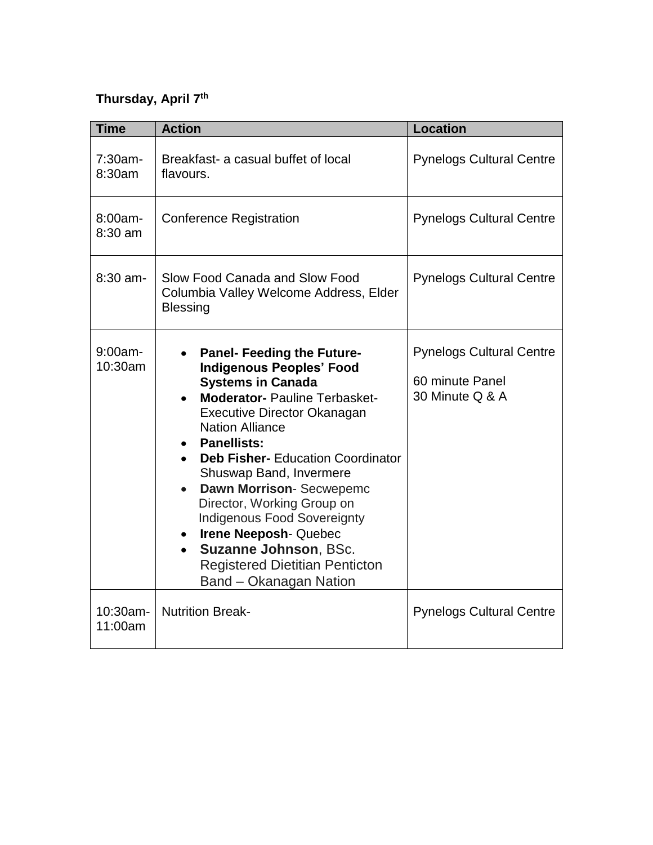## **Thursday, April 7th**

| <b>Time</b>           | <b>Action</b>                                                                                                                                                                                                                                                                                                                                                                                                                                                                                                                                             | <b>Location</b>                                                       |
|-----------------------|-----------------------------------------------------------------------------------------------------------------------------------------------------------------------------------------------------------------------------------------------------------------------------------------------------------------------------------------------------------------------------------------------------------------------------------------------------------------------------------------------------------------------------------------------------------|-----------------------------------------------------------------------|
| 7:30am-<br>8:30am     | Breakfast- a casual buffet of local<br>flavours.                                                                                                                                                                                                                                                                                                                                                                                                                                                                                                          | <b>Pynelogs Cultural Centre</b>                                       |
| $8:00am -$<br>8:30 am | <b>Conference Registration</b>                                                                                                                                                                                                                                                                                                                                                                                                                                                                                                                            | <b>Pynelogs Cultural Centre</b>                                       |
| 8:30 am-              | Slow Food Canada and Slow Food<br>Columbia Valley Welcome Address, Elder<br><b>Blessing</b>                                                                                                                                                                                                                                                                                                                                                                                                                                                               | <b>Pynelogs Cultural Centre</b>                                       |
| $9:00$ am-<br>10:30am | <b>Panel- Feeding the Future-</b><br><b>Indigenous Peoples' Food</b><br><b>Systems in Canada</b><br><b>Moderator- Pauline Terbasket-</b><br>Executive Director Okanagan<br><b>Nation Alliance</b><br><b>Panellists:</b><br><b>Deb Fisher-</b> Education Coordinator<br>Shuswap Band, Invermere<br>Dawn Morrison- Secwepemc<br>$\bullet$<br>Director, Working Group on<br><b>Indigenous Food Sovereignty</b><br>Irene Neeposh-Quebec<br>$\bullet$<br>Suzanne Johnson, BSc.<br>$\bullet$<br><b>Registered Dietitian Penticton</b><br>Band - Okanagan Nation | <b>Pynelogs Cultural Centre</b><br>60 minute Panel<br>30 Minute Q & A |
| 10:30am-<br>11:00am   | <b>Nutrition Break-</b>                                                                                                                                                                                                                                                                                                                                                                                                                                                                                                                                   | <b>Pynelogs Cultural Centre</b>                                       |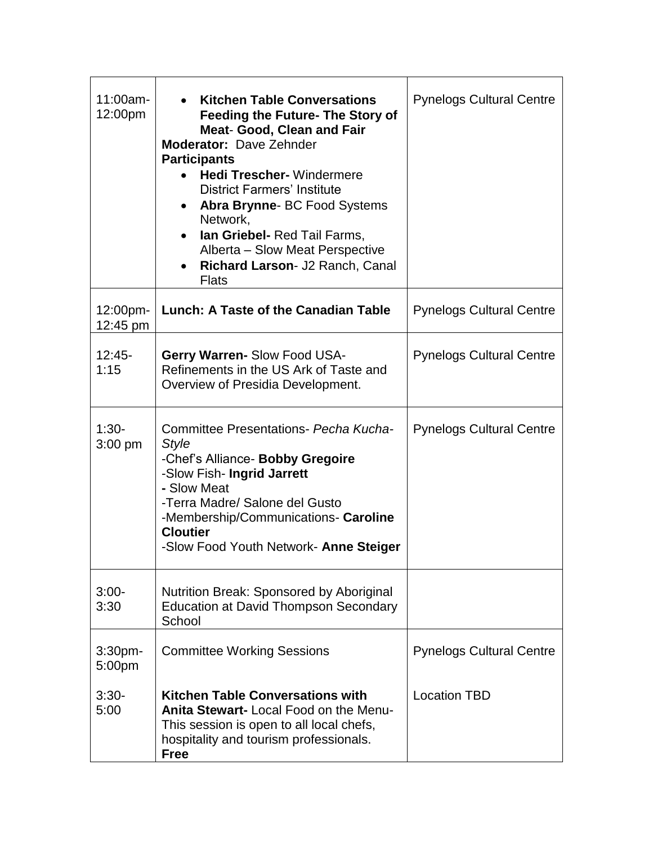| $11:00am -$<br>12:00pm       | <b>Kitchen Table Conversations</b><br><b>Feeding the Future- The Story of</b><br><b>Meat- Good, Clean and Fair</b><br><b>Moderator: Dave Zehnder</b><br><b>Participants</b><br><b>Hedi Trescher-</b> Windermere<br><b>District Farmers' Institute</b><br>Abra Brynne- BC Food Systems<br>Network,<br>Ian Griebel- Red Tail Farms,<br>$\bullet$<br>Alberta – Slow Meat Perspective<br>Richard Larson- J2 Ranch, Canal<br><b>Flats</b> | <b>Pynelogs Cultural Centre</b> |
|------------------------------|--------------------------------------------------------------------------------------------------------------------------------------------------------------------------------------------------------------------------------------------------------------------------------------------------------------------------------------------------------------------------------------------------------------------------------------|---------------------------------|
| 12:00pm-<br>12:45 pm         | Lunch: A Taste of the Canadian Table                                                                                                                                                                                                                                                                                                                                                                                                 | <b>Pynelogs Cultural Centre</b> |
| $12:45-$<br>1:15             | <b>Gerry Warren- Slow Food USA-</b><br>Refinements in the US Ark of Taste and<br>Overview of Presidia Development.                                                                                                                                                                                                                                                                                                                   | <b>Pynelogs Cultural Centre</b> |
| $1:30-$<br>$3:00$ pm         | Committee Presentations- Pecha Kucha-<br><b>Style</b><br>-Chef's Alliance- Bobby Gregoire<br>-Slow Fish- Ingrid Jarrett<br>- Slow Meat<br>-Terra Madre/ Salone del Gusto<br>-Membership/Communications- Caroline<br><b>Cloutier</b><br>-Slow Food Youth Network- Anne Steiger                                                                                                                                                        | <b>Pynelogs Cultural Centre</b> |
| $3:00-$<br>3:30              | Nutrition Break: Sponsored by Aboriginal<br><b>Education at David Thompson Secondary</b><br>School                                                                                                                                                                                                                                                                                                                                   |                                 |
| 3:30 <sub>pm</sub><br>5:00pm | <b>Committee Working Sessions</b>                                                                                                                                                                                                                                                                                                                                                                                                    | <b>Pynelogs Cultural Centre</b> |
| $3:30-$<br>5:00              | <b>Kitchen Table Conversations with</b><br>Anita Stewart-Local Food on the Menu-<br>This session is open to all local chefs,<br>hospitality and tourism professionals.<br><b>Free</b>                                                                                                                                                                                                                                                | <b>Location TBD</b>             |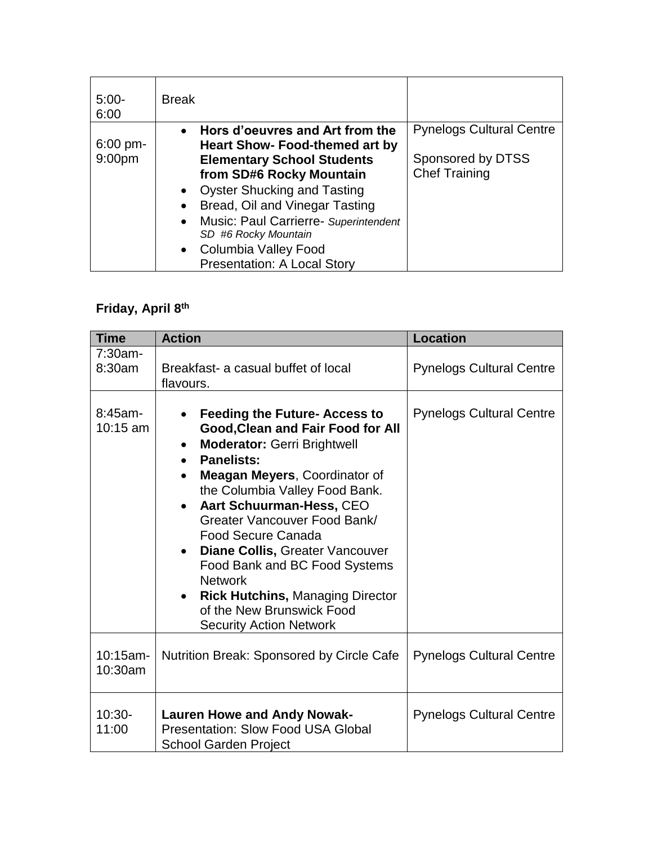| $5:00-$<br>6:00                         | <b>Break</b>                                                                                                                                                                                                                                                                                                                                      |                                                                              |
|-----------------------------------------|---------------------------------------------------------------------------------------------------------------------------------------------------------------------------------------------------------------------------------------------------------------------------------------------------------------------------------------------------|------------------------------------------------------------------------------|
| $6:00 \text{ pm}$<br>9:00 <sub>pm</sub> | • Hors d'oeuvres and Art from the<br><b>Heart Show- Food-themed art by</b><br><b>Elementary School Students</b><br>from SD#6 Rocky Mountain<br>• Oyster Shucking and Tasting<br>Bread, Oil and Vinegar Tasting<br>• Music: Paul Carrierre- Superintendent<br>SD #6 Rocky Mountain<br>• Columbia Valley Food<br><b>Presentation: A Local Story</b> | <b>Pynelogs Cultural Centre</b><br>Sponsored by DTSS<br><b>Chef Training</b> |

## **Friday, April 8th**

| <b>Time</b>             | <b>Action</b>                                                                                                                                                                                                                                                                                                                                                                                                                                                                                                                                               | <b>Location</b>                 |
|-------------------------|-------------------------------------------------------------------------------------------------------------------------------------------------------------------------------------------------------------------------------------------------------------------------------------------------------------------------------------------------------------------------------------------------------------------------------------------------------------------------------------------------------------------------------------------------------------|---------------------------------|
| $7:30am -$<br>8:30am    | Breakfast- a casual buffet of local<br>flavours.                                                                                                                                                                                                                                                                                                                                                                                                                                                                                                            | <b>Pynelogs Cultural Centre</b> |
| $8:45am-$<br>$10:15$ am | <b>Feeding the Future- Access to</b><br><b>Good, Clean and Fair Food for All</b><br><b>Moderator: Gerri Brightwell</b><br>$\bullet$<br><b>Panelists:</b><br>$\bullet$<br>Meagan Meyers, Coordinator of<br>the Columbia Valley Food Bank.<br>Aart Schuurman-Hess, CEO<br>$\bullet$<br>Greater Vancouver Food Bank/<br><b>Food Secure Canada</b><br>Diane Collis, Greater Vancouver<br>$\bullet$<br>Food Bank and BC Food Systems<br><b>Network</b><br><b>Rick Hutchins, Managing Director</b><br>of the New Brunswick Food<br><b>Security Action Network</b> | <b>Pynelogs Cultural Centre</b> |
| 10:15am-<br>10:30am     | Nutrition Break: Sponsored by Circle Cafe                                                                                                                                                                                                                                                                                                                                                                                                                                                                                                                   | <b>Pynelogs Cultural Centre</b> |
| $10:30-$<br>11:00       | <b>Lauren Howe and Andy Nowak-</b><br><b>Presentation: Slow Food USA Global</b><br><b>School Garden Project</b>                                                                                                                                                                                                                                                                                                                                                                                                                                             | <b>Pynelogs Cultural Centre</b> |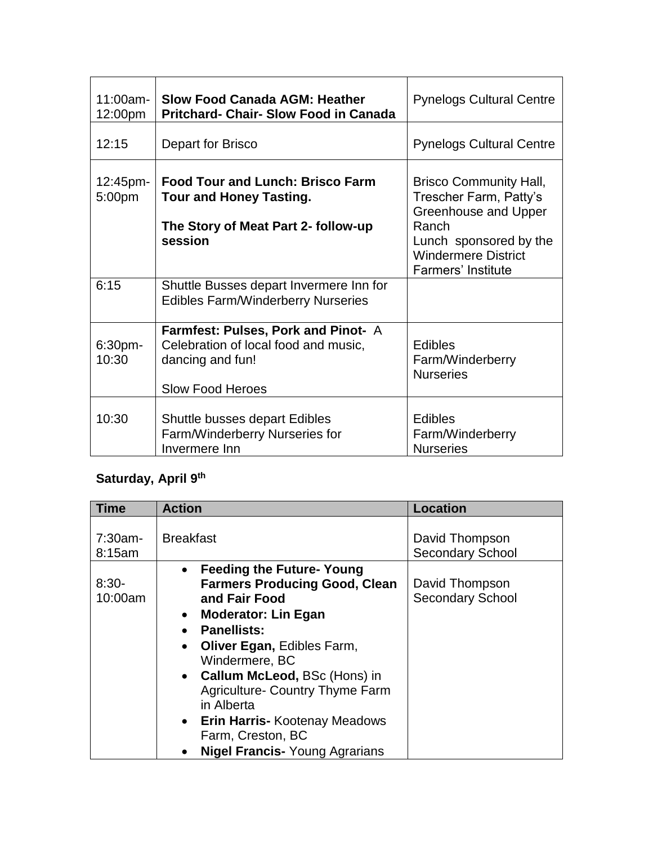| $11:00am -$<br>12:00pm | <b>Slow Food Canada AGM: Heather</b><br><b>Pritchard- Chair- Slow Food in Canada</b>                                        | <b>Pynelogs Cultural Centre</b>                                                                                                                                               |
|------------------------|-----------------------------------------------------------------------------------------------------------------------------|-------------------------------------------------------------------------------------------------------------------------------------------------------------------------------|
| 12:15                  | Depart for Brisco                                                                                                           | <b>Pynelogs Cultural Centre</b>                                                                                                                                               |
| $12:45$ pm-<br>5:00pm  | <b>Food Tour and Lunch: Brisco Farm</b><br><b>Tour and Honey Tasting.</b><br>The Story of Meat Part 2- follow-up<br>session | <b>Brisco Community Hall,</b><br>Trescher Farm, Patty's<br>Greenhouse and Upper<br>Ranch<br>Lunch sponsored by the<br><b>Windermere District</b><br><b>Farmers' Institute</b> |
| 6:15                   | Shuttle Busses depart Invermere Inn for<br><b>Edibles Farm/Winderberry Nurseries</b>                                        |                                                                                                                                                                               |
| 6:30pm-<br>10:30       | Farmfest: Pulses, Pork and Pinot- A<br>Celebration of local food and music,<br>dancing and fun!<br><b>Slow Food Heroes</b>  | <b>Edibles</b><br>Farm/Winderberry<br><b>Nurseries</b>                                                                                                                        |
| 10:30                  | Shuttle busses depart Edibles<br>Farm/Winderberry Nurseries for<br>Invermere Inn                                            | <b>Edibles</b><br>Farm/Winderberry<br><b>Nurseries</b>                                                                                                                        |

# **Saturday, April 9th**

| Time                 | <b>Action</b>                                                                                                                                                                                                                                                                                                                                                                                                                                | <b>Location</b>                           |
|----------------------|----------------------------------------------------------------------------------------------------------------------------------------------------------------------------------------------------------------------------------------------------------------------------------------------------------------------------------------------------------------------------------------------------------------------------------------------|-------------------------------------------|
| $7:30am -$<br>8:15am | <b>Breakfast</b>                                                                                                                                                                                                                                                                                                                                                                                                                             | David Thompson<br><b>Secondary School</b> |
| $8:30-$<br>10:00am   | <b>Feeding the Future- Young</b><br>$\bullet$<br><b>Farmers Producing Good, Clean</b><br>and Fair Food<br><b>Moderator: Lin Egan</b><br>$\bullet$<br><b>Panellists:</b><br>$\bullet$<br>Oliver Egan, Edibles Farm,<br>$\bullet$<br>Windermere, BC<br>• Callum McLeod, BSc (Hons) in<br><b>Agriculture- Country Thyme Farm</b><br>in Alberta<br>• Erin Harris- Kootenay Meadows<br>Farm, Creston, BC<br><b>Nigel Francis- Young Agrarians</b> | David Thompson<br><b>Secondary School</b> |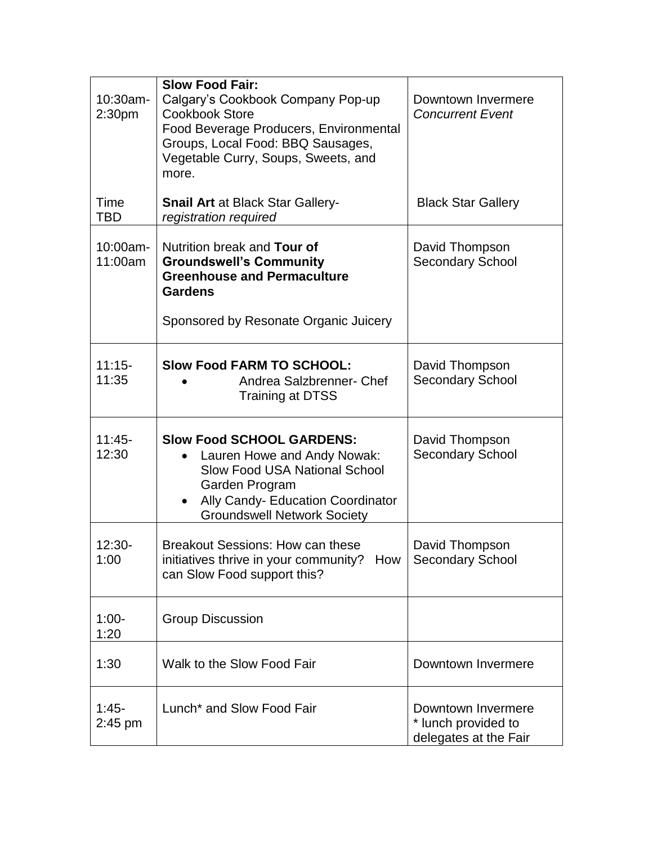| 10:30am-<br>2:30 <sub>pm</sub> | <b>Slow Food Fair:</b><br>Calgary's Cookbook Company Pop-up<br><b>Cookbook Store</b><br>Food Beverage Producers, Environmental<br>Groups, Local Food: BBQ Sausages,<br>Vegetable Curry, Soups, Sweets, and<br>more. | Downtown Invermere<br><b>Concurrent Event</b>                      |
|--------------------------------|---------------------------------------------------------------------------------------------------------------------------------------------------------------------------------------------------------------------|--------------------------------------------------------------------|
| Time<br><b>TBD</b>             | <b>Snail Art at Black Star Gallery-</b><br>registration required                                                                                                                                                    | <b>Black Star Gallery</b>                                          |
| 10:00am-<br>11:00am            | Nutrition break and Tour of<br><b>Groundswell's Community</b><br><b>Greenhouse and Permaculture</b><br><b>Gardens</b><br>Sponsored by Resonate Organic Juicery                                                      | David Thompson<br><b>Secondary School</b>                          |
| $11:15-$<br>11:35              | <b>Slow Food FARM TO SCHOOL:</b><br>Andrea Salzbrenner- Chef<br><b>Training at DTSS</b>                                                                                                                             | David Thompson<br><b>Secondary School</b>                          |
| $11:45-$<br>12:30              | <b>Slow Food SCHOOL GARDENS:</b><br>Lauren Howe and Andy Nowak:<br><b>Slow Food USA National School</b><br>Garden Program<br>Ally Candy- Education Coordinator<br><b>Groundswell Network Society</b>                | David Thompson<br><b>Secondary School</b>                          |
| $12:30-$<br>1:00               | <b>Breakout Sessions: How can these</b><br>initiatives thrive in your community? How<br>can Slow Food support this?                                                                                                 | David Thompson<br><b>Secondary School</b>                          |
| $1:00-$<br>1:20                | <b>Group Discussion</b>                                                                                                                                                                                             |                                                                    |
| 1:30                           | Walk to the Slow Food Fair                                                                                                                                                                                          | Downtown Invermere                                                 |
| $1:45-$<br>$2:45$ pm           | Lunch <sup>*</sup> and Slow Food Fair                                                                                                                                                                               | Downtown Invermere<br>* lunch provided to<br>delegates at the Fair |